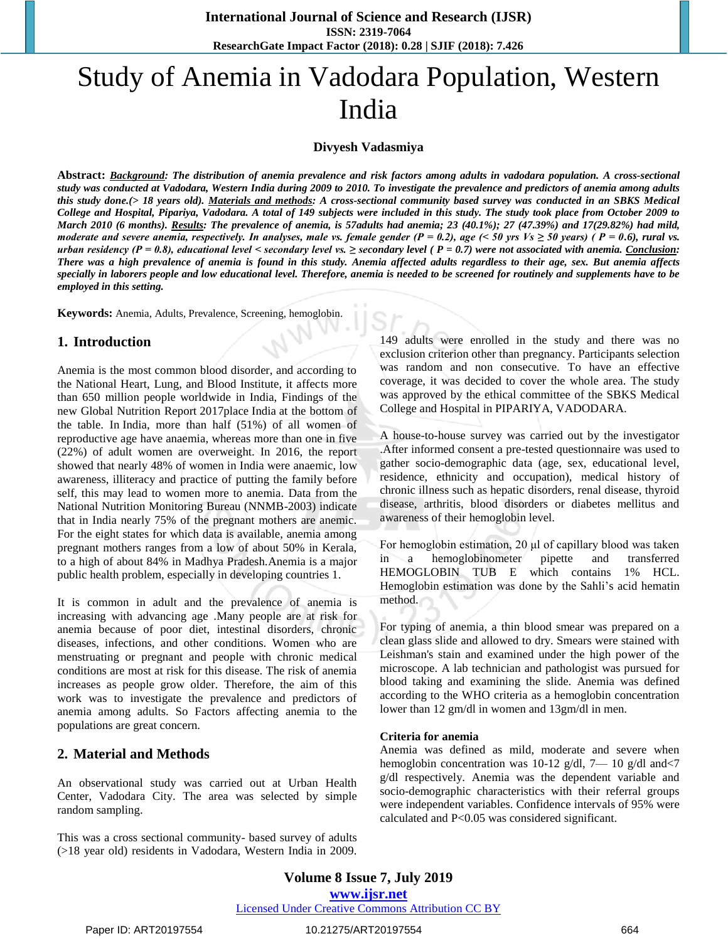# Study of Anemia in Vadodara Population, Western India

#### **Divyesh Vadasmiya**

**Abstract:** *Background: The distribution of anemia prevalence and risk factors among adults in vadodara population. A cross-sectional study was conducted at Vadodara, Western India during 2009 to 2010. To investigate the prevalence and predictors of anemia among adults this study done.(> 18 years old). Materials and methods: A cross-sectional community based survey was conducted in an SBKS Medical College and Hospital, Pipariya, Vadodara. A total of 149 subjects were included in this study. The study took place from October 2009 to March 2010 (6 months). Results: The prevalence of anemia, is 57adults had anemia; 23 (40.1%); 27 (47.39%) and 17(29.82%) had mild, moderate and severe anemia, respectively. In analyses, male vs. female gender (P = 0.2), age (< 50 yrs Vs ≥ 50 years) ( P = 0.6), rural vs. urban residency (P = 0.8), educational level < secondary level vs. ≥ secondary level ( P = 0.7) were not associated with anemia. Conclusion: There was a high prevalence of anemia is found in this study. Anemia affected adults regardless to their age, sex. But anemia affects specially in laborers people and low educational level. Therefore, anemia is needed to be screened for routinely and supplements have to be employed in this setting.* 

**Keywords:** Anemia, Adults, Prevalence, Screening, hemoglobin.

# **1. Introduction**

Anemia is the most common blood disorder, and according to the National Heart, Lung, and Blood Institute, it affects more than 650 million people worldwide in India, Findings of the new Global Nutrition Report 2017place India at the bottom of the table. In India, more than half (51%) of all women of reproductive age have anaemia, whereas more than one in five (22%) of adult women are overweight. In 2016, the report showed that nearly 48% of women in India were anaemic, low awareness, illiteracy and practice of putting the family before self, this may lead to women more to anemia. Data from the National Nutrition Monitoring Bureau (NNMB-2003) indicate that in India nearly 75% of the pregnant mothers are anemic. For the eight states for which data is available, anemia among pregnant mothers ranges from a low of about 50% in Kerala, to a high of about 84% in Madhya Pradesh.Anemia is a major public health problem, especially in developing countries 1.

It is common in adult and the prevalence of anemia is increasing with advancing age .Many people are at risk for anemia because of poor diet, intestinal disorders, chronic diseases, infections, and other conditions. Women who are menstruating or pregnant and people with chronic medical conditions are most at risk for this disease. The risk of anemia increases as people grow older. Therefore, the aim of this work was to investigate the prevalence and predictors of anemia among adults. So Factors affecting anemia to the populations are great concern.

# **2. Material and Methods**

An observational study was carried out at Urban Health Center, Vadodara City. The area was selected by simple random sampling.

This was a cross sectional community- based survey of adults (>18 year old) residents in Vadodara, Western India in 2009.

149 adults were enrolled in the study and there was no exclusion criterion other than pregnancy. Participants selection was random and non consecutive. To have an effective coverage, it was decided to cover the whole area. The study was approved by the ethical committee of the SBKS Medical College and Hospital in PIPARIYA, VADODARA.

A house-to-house survey was carried out by the investigator .After informed consent a pre-tested questionnaire was used to gather socio-demographic data (age, sex, educational level, residence, ethnicity and occupation), medical history of chronic illness such as hepatic disorders, renal disease, thyroid disease, arthritis, blood disorders or diabetes mellitus and awareness of their hemoglobin level.

For hemoglobin estimation, 20 μl of capillary blood was taken in a hemoglobinometer pipette and transferred HEMOGLOBIN TUB E which contains 1% HCL. Hemoglobin estimation was done by the Sahli's acid hematin method.

For typing of anemia, a thin blood smear was prepared on a clean glass slide and allowed to dry. Smears were stained with Leishman's stain and examined under the high power of the microscope. A lab technician and pathologist was pursued for blood taking and examining the slide. Anemia was defined according to the WHO criteria as a hemoglobin concentration lower than 12 gm/dl in women and 13gm/dl in men.

#### **Criteria for anemia**

Anemia was defined as mild, moderate and severe when hemoglobin concentration was 10-12 g/dl, 7— 10 g/dl and <7 g/dl respectively. Anemia was the dependent variable and socio-demographic characteristics with their referral groups were independent variables. Confidence intervals of 95% were calculated and P<0.05 was considered significant.

**Volume 8 Issue 7, July 2019 www.ijsr.net** Licensed Under Creative Commons Attribution CC BY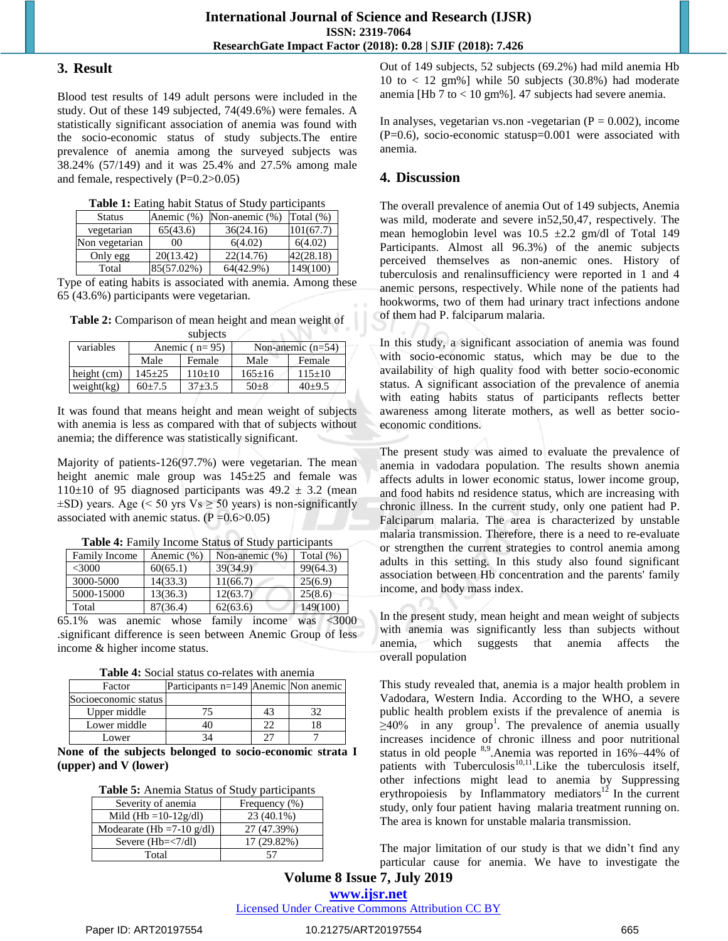#### **3. Result**

Blood test results of 149 adult persons were included in the study. Out of these 149 subjected, 74(49.6%) were females. A statistically significant association of anemia was found with the socio-economic status of study subjects.The entire prevalence of anemia among the surveyed subjects was 38.24% (57/149) and it was 25.4% and 27.5% among male and female, respectively (P=0.2>0.05)

**Table 1:** Eating habit Status of Study participants

| <b>Status</b>  | Anemic (%) | Non-anemic (%) | Total $(\%)$ |
|----------------|------------|----------------|--------------|
| vegetarian     | 65(43.6)   | 36(24.16)      | 101(67.7)    |
| Non vegetarian | 00         | 6(4.02)        | 6(4.02)      |
| Only egg       | 20(13.42)  | 22(14.76)      | 42(28.18)    |
| Total          | 85(57.02%) | 64(42.9%)      | 149(100)     |

Type of eating habits is associated with anemia. Among these 65 (43.6%) participants were vegetarian.

**Table 2:** Comparison of mean height and mean weight of .<br>Subjects and

| subjects      |                 |            |              |                     |
|---------------|-----------------|------------|--------------|---------------------|
| variables     | Anemic $(n=95)$ |            |              | Non-anemic $(n=54)$ |
|               | Male            | Female     | Male         | Female              |
| height $(cm)$ | $145 \pm 25$    | $110+10$   | $165 \pm 16$ | $115 \pm 10$        |
| weight $(kg)$ | $60+7.5$        | $37 + 3.5$ | $50+8$       | $40{\pm}9.5$        |

It was found that means height and mean weight of subjects with anemia is less as compared with that of subjects without anemia; the difference was statistically significant.

Majority of patients-126(97.7%) were vegetarian. The mean height anemic male group was  $145\pm 25$  and female was 110 $\pm$ 10 of 95 diagnosed participants was 49.2  $\pm$  3.2 (mean  $\pm$ SD) years. Age (< 50 yrs Vs  $\geq$  50 years) is non-significantly associated with anemic status.  $(P = 0.6 > 0.05)$ 

| Table 4: Family Income Status of Study participants |  |  |
|-----------------------------------------------------|--|--|
|                                                     |  |  |

**COLLEGE** 

| <b>Family Income</b> | Anemic (%) | Non-anemic (%) | Total $(\%)$ |
|----------------------|------------|----------------|--------------|
| <3000                | 60(65.1)   | 39(34.9)       | 99(64.3)     |
| 3000-5000            | 14(33.3)   | 11(66.7)       | 25(6.9)      |
| 5000-15000           | 13(36.3)   | 12(63.7)       | 25(8.6)      |
| Total                | 87(36.4)   | 62(63.6)       | 149(100)     |

65.1% was anemic whose family income was <3000 .significant difference is seen between Anemic Group of less income & higher income status.

**Table 4:** Social status co-relates with anemia

| Factor               | Participants n=149 Anemic Non anemic |  |
|----------------------|--------------------------------------|--|
| Socioeconomic status |                                      |  |
| Upper middle         |                                      |  |
| Lower middle         |                                      |  |
| Lower                |                                      |  |

**None of the subjects belonged to socio-economic strata I (upper) and V (lower)**

| Table 5: Anemia Status of Study participants |  |
|----------------------------------------------|--|
|----------------------------------------------|--|

| Severity of anemia           | Frequency (%) |
|------------------------------|---------------|
| Mild (Hb = $10-12g/dl$ )     | 23 (40.1%)    |
| Modearate (Hb = $7-10$ g/dl) | 27 (47.39%)   |
| Severe $(Hb=<7/dl)$          | 17 (29.82%)   |
| Total                        |               |

Out of 149 subjects, 52 subjects (69.2%) had mild anemia Hb 10 to  $\langle 12 \text{ gm}\% \rangle$  while 50 subjects (30.8%) had moderate anemia [Hb 7 to < 10 gm%]. 47 subjects had severe anemia.

In analyses, vegetarian vs.non -vegetarian  $(P = 0.002)$ , income (P=0.6), socio-economic statusp=0.001 were associated with anemia.

# **4. Discussion**

The overall prevalence of anemia Out of 149 subjects, Anemia was mild, moderate and severe in52,50,47, respectively. The mean hemoglobin level was  $10.5 \pm 2.2$  gm/dl of Total 149 Participants. Almost all 96.3%) of the anemic subjects perceived themselves as non-anemic ones. History of tuberculosis and renalinsufficiency were reported in 1 and 4 anemic persons, respectively. While none of the patients had hookworms, two of them had urinary tract infections andone of them had P. falciparum malaria.

In this study, a significant association of anemia was found with socio-economic status, which may be due to the availability of high quality food with better socio-economic status. A significant association of the prevalence of anemia with eating habits status of participants reflects better awareness among literate mothers, as well as better socioeconomic conditions.

The present study was aimed to evaluate the prevalence of anemia in vadodara population. The results shown anemia affects adults in lower economic status, lower income group, and food habits nd residence status, which are increasing with chronic illness. In the current study, only one patient had P. Falciparum malaria. The area is characterized by unstable malaria transmission. Therefore, there is a need to re-evaluate or strengthen the current strategies to control anemia among adults in this setting. In this study also found significant association between Hb concentration and the parents' family income, and body mass index.

In the present study, mean height and mean weight of subjects with anemia was significantly less than subjects without anemia, which suggests that anemia affects the overall population

This study revealed that, anemia is a major health problem in Vadodara, Western India. According to the WHO, a severe public health problem exists if the prevalence of anemia is  $\geq 40\%$  in any group<sup>1</sup>. The prevalence of anemia usually increases incidence of chronic illness and poor nutritional status in old people  $8.9$ . Anemia was reported in 16%–44% of patients with Tuberculosis<sup>10,11</sup>. Like the tuberculosis itself, other infections might lead to anemia by Suppressing erythropoiesis by Inflammatory mediators $12$  In the current study, only four patient having malaria treatment running on. The area is known for unstable malaria transmission.

The major limitation of our study is that we didn't find any particular cause for anemia. We have to investigate the

**Volume 8 Issue 7, July 2019 www.ijsr.net**

Licensed Under Creative Commons Attribution CC BY